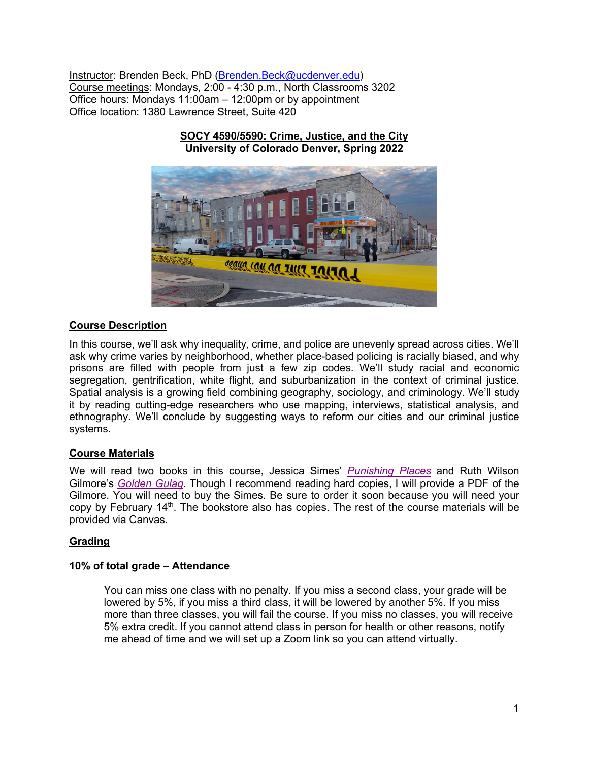Instructor: Brenden Beck, PhD (Brenden.Beck@ucdenver.edu) Course meetings: Mondays, 2:00 - 4:30 p.m., North Classrooms 3202 Office hours: Mondays 11:00am – 12:00pm or by appointment Office location: 1380 Lawrence Street, Suite 420

> **SOCY 4590/5590: Crime, Justice, and the City University of Colorado Denver, Spring 2022**



# **Course Description**

In this course, we'll ask why inequality, crime, and police are unevenly spread across cities. We'll ask why crime varies by neighborhood, whether place-based policing is racially biased, and why prisons are filled with people from just a few zip codes. We'll study racial and economic segregation, gentrification, white flight, and suburbanization in the context of criminal justice. Spatial analysis is a growing field combining geography, sociology, and criminology. We'll study it by reading cutting-edge researchers who use mapping, interviews, statistical analysis, and ethnography. We'll conclude by suggesting ways to reform our cities and our criminal justice systems.

# **Course Materials**

We will read two books in this course, Jessica Simes' *Punishing Places* and Ruth Wilson Gilmore's *Golden Gulag*. Though I recommend reading hard copies, I will provide a PDF of the Gilmore. You will need to buy the Simes. Be sure to order it soon because you will need your copy by February 14<sup>th</sup>. The bookstore also has copies. The rest of the course materials will be provided via Canvas.

# **Grading**

# **10% of total grade – Attendance**

You can miss one class with no penalty. If you miss a second class, your grade will be lowered by 5%, if you miss a third class, it will be lowered by another 5%. If you miss more than three classes, you will fail the course. If you miss no classes, you will receive 5% extra credit. If you cannot attend class in person for health or other reasons, notify me ahead of time and we will set up a Zoom link so you can attend virtually.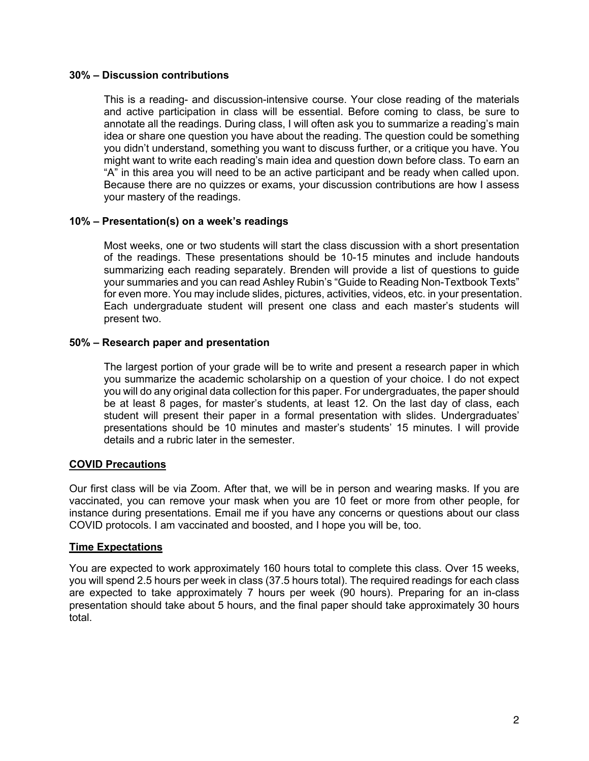#### **30% – Discussion contributions**

This is a reading- and discussion-intensive course. Your close reading of the materials and active participation in class will be essential. Before coming to class, be sure to annotate all the readings. During class, I will often ask you to summarize a reading's main idea or share one question you have about the reading. The question could be something you didn't understand, something you want to discuss further, or a critique you have. You might want to write each reading's main idea and question down before class. To earn an "A" in this area you will need to be an active participant and be ready when called upon. Because there are no quizzes or exams, your discussion contributions are how I assess your mastery of the readings.

# **10% – Presentation(s) on a week's readings**

Most weeks, one or two students will start the class discussion with a short presentation of the readings. These presentations should be 10-15 minutes and include handouts summarizing each reading separately. Brenden will provide a list of questions to guide your summaries and you can read Ashley Rubin's "Guide to Reading Non-Textbook Texts" for even more. You may include slides, pictures, activities, videos, etc. in your presentation. Each undergraduate student will present one class and each master's students will present two.

### **50% – Research paper and presentation**

The largest portion of your grade will be to write and present a research paper in which you summarize the academic scholarship on a question of your choice. I do not expect you will do any original data collection for this paper. For undergraduates, the paper should be at least 8 pages, for master's students, at least 12. On the last day of class, each student will present their paper in a formal presentation with slides. Undergraduates' presentations should be 10 minutes and master's students' 15 minutes. I will provide details and a rubric later in the semester.

# **COVID Precautions**

Our first class will be via Zoom. After that, we will be in person and wearing masks. If you are vaccinated, you can remove your mask when you are 10 feet or more from other people, for instance during presentations. Email me if you have any concerns or questions about our class COVID protocols. I am vaccinated and boosted, and I hope you will be, too.

#### **Time Expectations**

You are expected to work approximately 160 hours total to complete this class. Over 15 weeks, you will spend 2.5 hours per week in class (37.5 hours total). The required readings for each class are expected to take approximately 7 hours per week (90 hours). Preparing for an in-class presentation should take about 5 hours, and the final paper should take approximately 30 hours total.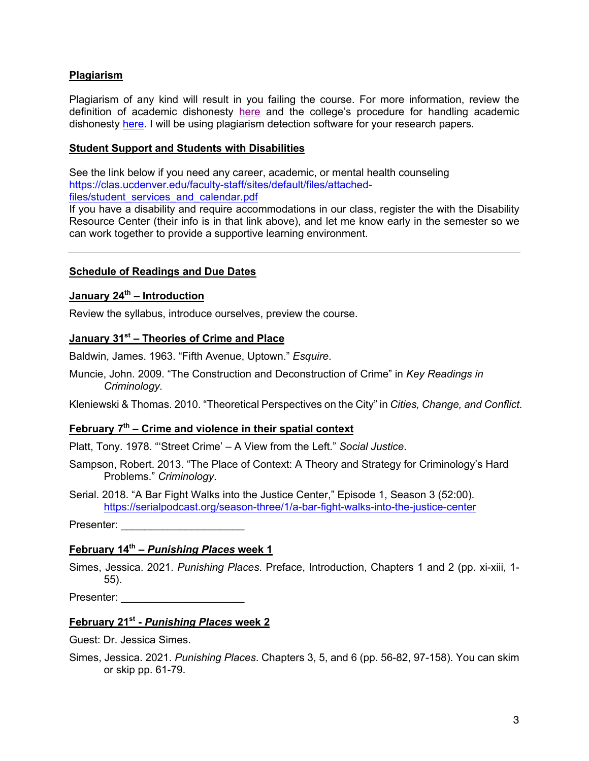# **Plagiarism**

Plagiarism of any kind will result in you failing the course. For more information, review the definition of academic dishonesty here and the college's procedure for handling academic dishonesty here. I will be using plagiarism detection software for your research papers.

#### **Student Support and Students with Disabilities**

See the link below if you need any career, academic, or mental health counseling https://clas.ucdenver.edu/faculty-staff/sites/default/files/attachedfiles/student\_services\_and\_calendar.pdf

If you have a disability and require accommodations in our class, register the with the Disability Resource Center (their info is in that link above), and let me know early in the semester so we can work together to provide a supportive learning environment.

### **Schedule of Readings and Due Dates**

# **January 24th – Introduction**

Review the syllabus, introduce ourselves, preview the course.

# **January 31st – Theories of Crime and Place**

Baldwin, James. 1963. "Fifth Avenue, Uptown." *Esquire*.

Muncie, John. 2009. "The Construction and Deconstruction of Crime" in *Key Readings in Criminology.*

Kleniewski & Thomas. 2010. "Theoretical Perspectives on the City" in *Cities, Change, and Conflict*.

### **February 7th – Crime and violence in their spatial context**

Platt, Tony. 1978. "'Street Crime' – A View from the Left." *Social Justice*.

Sampson, Robert. 2013. "The Place of Context: A Theory and Strategy for Criminology's Hard Problems." *Criminology*.

Serial. 2018. "A Bar Fight Walks into the Justice Center," Episode 1, Season 3 (52:00). https://serialpodcast.org/season-three/1/a-bar-fight-walks-into-the-justice-center

Presenter:

#### **February 14th –** *Punishing Places* **week 1**

Simes, Jessica. 2021. *Punishing Places*. Preface, Introduction, Chapters 1 and 2 (pp. xi-xiii, 1- 55).

Presenter:

# **February 21st -** *Punishing Places* **week 2**

Guest: Dr. Jessica Simes.

Simes, Jessica. 2021. *Punishing Places*. Chapters 3, 5, and 6 (pp. 56-82, 97-158). You can skim or skip pp. 61-79.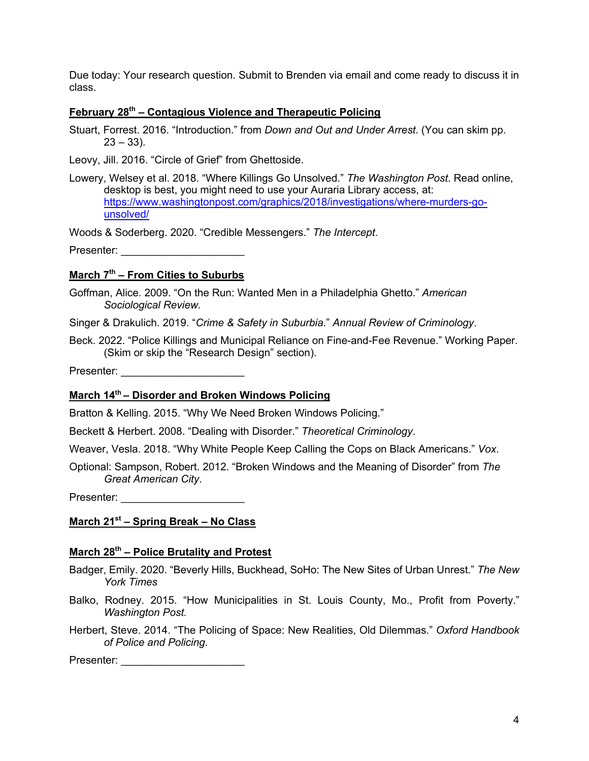Due today: Your research question. Submit to Brenden via email and come ready to discuss it in class.

### **February 28th – Contagious Violence and Therapeutic Policing**

Stuart, Forrest. 2016. "Introduction." from *Down and Out and Under Arrest*. (You can skim pp.  $23 - 33$ ).

Leovy, Jill. 2016. "Circle of Grief" from Ghettoside.

Lowery, Welsey et al. 2018. "Where Killings Go Unsolved." *The Washington Post*. Read online, desktop is best, you might need to use your Auraria Library access, at: https://www.washingtonpost.com/graphics/2018/investigations/where-murders-gounsolved/

Woods & Soderberg. 2020. "Credible Messengers." *The Intercept*.

Presenter: **Example 20** 

# **March 7th – From Cities to Suburbs**

Goffman, Alice. 2009. "On the Run: Wanted Men in a Philadelphia Ghetto." *American Sociological Review.* 

Singer & Drakulich. 2019. "*Crime & Safety in Suburbia.*" *Annual Review of Criminology*.

Beck. 2022. "Police Killings and Municipal Reliance on Fine-and-Fee Revenue." Working Paper. (Skim or skip the "Research Design" section).

Presenter: **Example 20** 

# **March 14th – Disorder and Broken Windows Policing**

Bratton & Kelling. 2015. "Why We Need Broken Windows Policing."

Beckett & Herbert. 2008. "Dealing with Disorder." *Theoretical Criminology*.

Weaver, Vesla. 2018. "Why White People Keep Calling the Cops on Black Americans." *Vox*.

Optional: Sampson, Robert. 2012. "Broken Windows and the Meaning of Disorder" from *The Great American City*.

Presenter:

### **March 21st – Spring Break – No Class**

# **March 28th – Police Brutality and Protest**

- Badger, Emily. 2020. "Beverly Hills, Buckhead, SoHo: The New Sites of Urban Unrest." *The New York Times*
- Balko, Rodney. 2015. "How Municipalities in St. Louis County, Mo., Profit from Poverty." *Washington Post.*
- Herbert, Steve. 2014. "The Policing of Space: New Realities, Old Dilemmas." *Oxford Handbook of Police and Policing*.

Presenter: